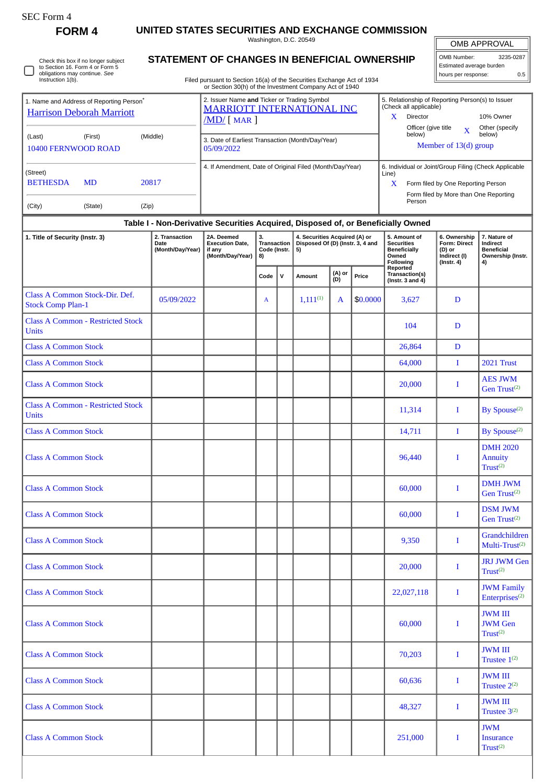| SEC Form- |
|-----------|
|-----------|

**FORM 4 UNITED STATES SECURITIES AND EXCHANGE COMMISSION**

Washington, D.C. 20549

OMB APPROVAL

| OMB Number:<br>3235-0287 |     |  |  |  |  |  |  |  |  |
|--------------------------|-----|--|--|--|--|--|--|--|--|
| Estimated average burden |     |  |  |  |  |  |  |  |  |
| hours per response:      | 0.5 |  |  |  |  |  |  |  |  |

**STATEMENT OF CHANGES IN BENEFICIAL OWNERSHIP** Filed pursuant to Section 16(a) of the Securities Exchange Act of 1934 or Section 30(h) of the Investment Company Act of 1940 Check this box if no longer subject to Section 16. Form 4 or Form 5 obligations may continue. *See* Instruction 1(b). 1. Name and Address of Reporting Person<sup>\*</sup> [Harrison Deborah Marriott](http://www.sec.gov/cgi-bin/browse-edgar?action=getcompany&CIK=0001359807) (Last) (First) (Middle) 10400 FERNWOOD ROAD (Street) BETHESDA MD 20817 (City) (State) (Zip) 2. Issuer Name **and** Ticker or Trading Symbol [MARRIOTT INTERNATIONAL INC](http://www.sec.gov/cgi-bin/browse-edgar?action=getcompany&CIK=0001048286) /MD/ [ MAR ] 5. Relationship of Reporting Person(s) to Issuer (Check all applicable) X Director 10% Owner Officer (give title X<br>below) Other (specify below) 3. Date of Earliest Transaction (Month/Day/Year)<br>05/09/2022 Member of 13(d) group 05/09/2022 4. If Amendment, Date of Original Filed (Month/Day/Year) 6. Individual or Joint/Group Filing (Check Applicable Line) X Form filed by One Reporting Person Form filed by More than One Reporting Person **Table I - Non-Derivative Securities Acquired, Disposed of, or Beneficially Owned 1. Title of Security (Instr. 3) 2. Transaction** 2. Transaction<br>Date **(Month/Day/Year) 2A. Deemed Execution Date, if any (Month/Day/Year) 3. Transaction Code (Instr. 8) 4. Securities Acquired (A) or Disposed Of (D) (Instr. 3, 4 and 5) 5. Amount of Securities Beneficially Owned Following Reported Transaction(s) (Instr. 3 and 4) 6. Ownership Form: Direct (D) or Indirect (I) (Instr. 4) 7. Nature of Indirect Beneficial Ownership (Instr. 4) Code** | **V** | Amount **(D) Price** Class A Common Stock-Dir. Def. Class A Common Stock-Dir. Det.<br>Stock Comp Plan-1 05/09/2022 A 1,111<sup>(1)</sup>  $\overline{A}$   $\left| \phi 0.0000 \right|$  3,627 D Class A Common - Restricted Stock Units Units Common - Result Red Stock and The Common - Result Red Stock and D Class A Common Stock 26,864 D Class A Common Stock **Class A Common Stock Class A Common Stock 1** Class A Common Stock 20,000 I AES JWM Gen Trust<sup>(2)</sup> Class A Common - Restricted Stock Units  $\begin{array}{c|c|c|c|c|c|c} \hline \end{array}$  By Spouse<sup>(2)</sup> Units Units Class A Common Stock 14,711 I By Spouse(2) Class A Common Stock 96,440 I DMH 2020 **Annuity**  $Trust<sup>(2)</sup>$ Class A Common Stock 60,000 I DMH JWM Gen Trust<sup>(2)</sup> Class A Common Stock (Section 2) and the common Stock of the contract of the contract of the contract of the contract of the contract of the contract of the contract of the contract of the contract of the contract of the c DSM JWM Gen Trust<sup>(2)</sup> Class A Common Stock (Section 2014) In the U.S. School and Text and Section 2014 In the U.S. School and Text and Text and Text and Text and Text and Text and Text and Text and Text and Text and Text and Text and Text and T **Grandchildren** Multi-Trust<sup>(2)</sup> Class A Common Stock 20,000 I JRJ JWM Gen  $Trust<sup>(2)</sup>$ Class A Common Stock 22,027,118 I JWM Family Enterprises<sup>(2)</sup> Class A Common Stock (Section 2) **Class A Common Stock** (Section 2) **I** JWM III JWM Gen  $T<sub>rust</sub>(2)$ Class A Common Stock 70,203 I JWM III Trustee  $1^{(2)}$ Class A Common Stock and The Class A Common Stock I and The I and The I and The I and The I and The I and The I and The I and The I and The I and The I and The I and The I and The I and The I and The I and The I and The I JWM III Trustee 2(2) Class A Common Stock 48,327 I JWM III Trustee 3(2) Class A Common Stock 251,000 I JWM **Insurance**  $Trust<sup>(2)</sup>$